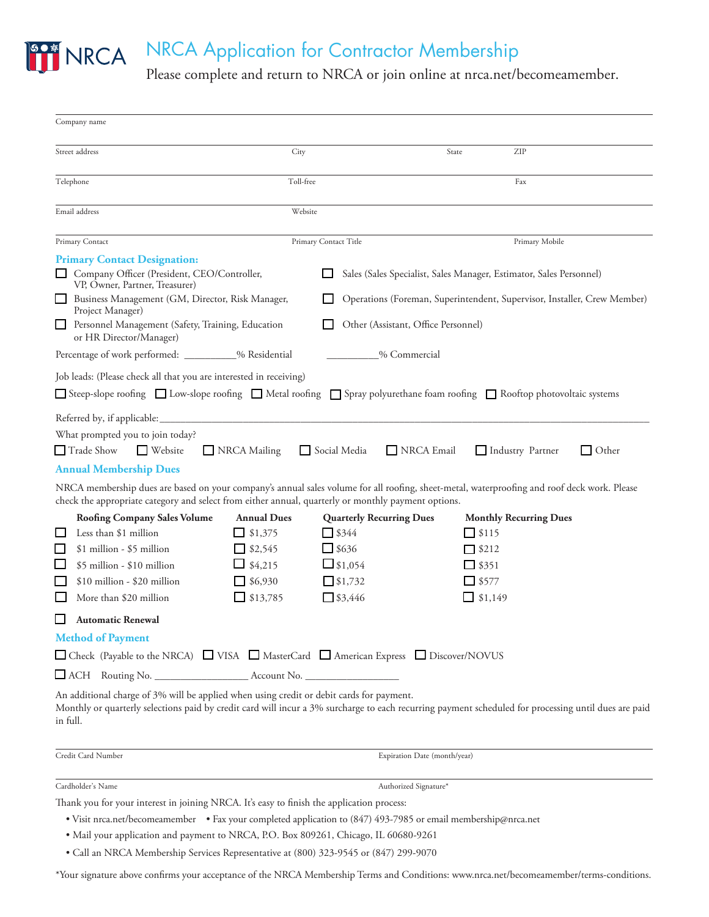

# NRCA Application for Contractor Membership

Please complete and return to NRCA or join online at nrca.net/becomeamember.

| Company name                                                                                                   |                    |                                                                          |                                                                                                                                                                                 |  |
|----------------------------------------------------------------------------------------------------------------|--------------------|--------------------------------------------------------------------------|---------------------------------------------------------------------------------------------------------------------------------------------------------------------------------|--|
| Street address<br>City                                                                                         |                    |                                                                          | ZIP<br>State                                                                                                                                                                    |  |
| Telephone                                                                                                      |                    | Toll-free                                                                | Fax                                                                                                                                                                             |  |
| Email address                                                                                                  | Website            |                                                                          |                                                                                                                                                                                 |  |
| Primary Contact                                                                                                |                    | Primary Contact Title                                                    | Primary Mobile                                                                                                                                                                  |  |
| <b>Primary Contact Designation:</b>                                                                            |                    |                                                                          |                                                                                                                                                                                 |  |
| Company Officer (President, CEO/Controller,<br>VP, Owner, Partner, Treasurer)                                  |                    | Sales (Sales Specialist, Sales Manager, Estimator, Sales Personnel)      |                                                                                                                                                                                 |  |
| Business Management (GM, Director, Risk Manager,<br>Project Manager)                                           |                    | Operations (Foreman, Superintendent, Supervisor, Installer, Crew Member) |                                                                                                                                                                                 |  |
| Personnel Management (Safety, Training, Education<br>ப<br>or HR Director/Manager)                              |                    | Other (Assistant, Office Personnel)                                      |                                                                                                                                                                                 |  |
| Percentage of work performed: __________% Residential                                                          |                    | % Commercial                                                             |                                                                                                                                                                                 |  |
| Job leads: (Please check all that you are interested in receiving)                                             |                    |                                                                          |                                                                                                                                                                                 |  |
|                                                                                                                |                    |                                                                          | □ Steep-slope roofing □ Low-slope roofing □ Metal roofing □ Spray polyurethane foam roofing □ Rooftop photovoltaic systems                                                      |  |
| What prompted you to join today?<br>$\Box$ Trade Show<br>$\Box$ Website<br><b>Annual Membership Dues</b>       | NRCA Mailing       | Social Media<br>NRCA Email                                               | Industry Partner<br>$\Box$ Other<br>NRCA membership dues are based on your company's annual sales volume for all roofing, sheet-metal, waterproofing and roof deck work. Please |  |
| check the appropriate category and select from either annual, quarterly or monthly payment options.            |                    |                                                                          |                                                                                                                                                                                 |  |
| <b>Roofing Company Sales Volume</b>                                                                            | <b>Annual Dues</b> | <b>Quarterly Recurring Dues</b>                                          | <b>Monthly Recurring Dues</b>                                                                                                                                                   |  |
| Less than \$1 million<br>ப                                                                                     | $\Box$ \$1,375     | $\Box$ \$344                                                             | $\Box$ \$115                                                                                                                                                                    |  |
| $\Box$<br>$$1$ million - $$5$ million                                                                          | $\Box$ \$2,545     | $\Box$ \$636                                                             | $\Box$ \$212                                                                                                                                                                    |  |
| \$5 million - \$10 million<br>$\Box$                                                                           | $\Box$ \$4,215     | $\Box$ \$1,054                                                           | $\Box$ \$351                                                                                                                                                                    |  |
| $$10$ million - $$20$ million                                                                                  | $\Box$ \$6,930     | 51,732                                                                   | $\Box$ \$577                                                                                                                                                                    |  |
| More than \$20 million<br>ப                                                                                    | $\Box$ \$13,785    | $\Box$ \$3,446                                                           | $\Box$ \$1,149                                                                                                                                                                  |  |
| ப<br><b>Automatic Renewal</b>                                                                                  |                    |                                                                          |                                                                                                                                                                                 |  |
| <b>Method of Payment</b>                                                                                       |                    |                                                                          |                                                                                                                                                                                 |  |
| □ Check (Payable to the NRCA) □ VISA □ MasterCard □ American Express □ Discover/NOVUS                          |                    |                                                                          |                                                                                                                                                                                 |  |
|                                                                                                                |                    |                                                                          |                                                                                                                                                                                 |  |
| An additional charge of 3% will be applied when using credit or debit cards for payment.<br>in full.           |                    |                                                                          | Monthly or quarterly selections paid by credit card will incur a 3% surcharge to each recurring payment scheduled for processing until dues are paid                            |  |
| Credit Card Number                                                                                             |                    | Expiration Date (month/year)                                             |                                                                                                                                                                                 |  |
| Cardholder's Name                                                                                              |                    | Authorized Signature*                                                    |                                                                                                                                                                                 |  |
| Thank you for your interest in joining NRCA. It's easy to finish the application process:                      |                    |                                                                          |                                                                                                                                                                                 |  |
| • Visit nrca.net/becomeamember • Fax your completed application to (847) 493-7985 or email membership@nrca.net |                    |                                                                          |                                                                                                                                                                                 |  |

- Mail your application and payment to NRCA, P.O. Box 809261, Chicago, IL 60680-9261
- Call an NRCA Membership Services Representative at (800) 323-9545 or (847) 299-9070

\*Your signature above confirms your acceptance of the NRCA Membership Terms and Conditions: www.nrca.net/becomeamember/terms-conditions.